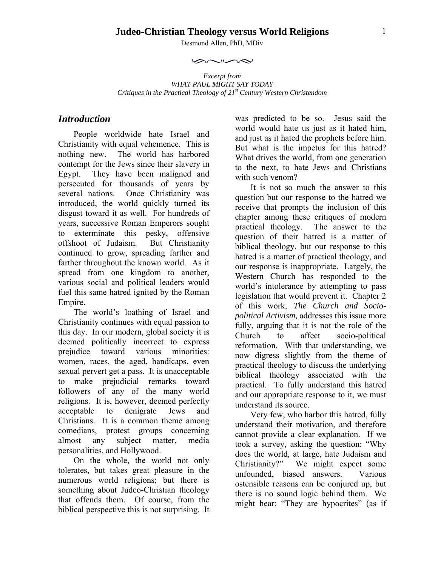## **Judeo-Christian Theology versus World Religions**

Desmond Allen, PhD, MDiv

 $\sim$ 

*Excerpt from WHAT PAUL MIGHT SAY TODAY Critiques in the Practical Theology of 21st Century Western Christendom* 

# *Introduction*

People worldwide hate Israel and Christianity with equal vehemence. This is nothing new. The world has harbored contempt for the Jews since their slavery in Egypt. They have been maligned and persecuted for thousands of years by several nations. Once Christianity was introduced, the world quickly turned its disgust toward it as well. For hundreds of years, successive Roman Emperors sought to exterminate this pesky, offensive offshoot of Judaism. But Christianity continued to grow, spreading farther and farther throughout the known world. As it spread from one kingdom to another, various social and political leaders would fuel this same hatred ignited by the Roman Empire.

The world's loathing of Israel and Christianity continues with equal passion to this day. In our modern, global society it is deemed politically incorrect to express prejudice toward various minorities: women, races, the aged, handicaps, even sexual pervert get a pass. It is unacceptable to make prejudicial remarks toward followers of any of the many world religions. It is, however, deemed perfectly acceptable to denigrate Jews and Christians. It is a common theme among comedians, protest groups concerning almost any subject matter, media personalities, and Hollywood.

On the whole, the world not only tolerates, but takes great pleasure in the numerous world religions; but there is something about Judeo-Christian theology that offends them. Of course, from the biblical perspective this is not surprising. It was predicted to be so. Jesus said the world would hate us just as it hated him. and just as it hated the prophets before him. But what is the impetus for this hatred? What drives the world, from one generation to the next, to hate Jews and Christians with such venom?

It is not so much the answer to this question but our response to the hatred we receive that prompts the inclusion of this chapter among these critiques of modern practical theology. The answer to the question of their hatred is a matter of biblical theology, but our response to this hatred is a matter of practical theology, and our response is inappropriate. Largely, the Western Church has responded to the world's intolerance by attempting to pass legislation that would prevent it. Chapter 2 of this work, *The Church and Sociopolitical Activism,* addresses this issue more fully, arguing that it is not the role of the Church to affect socio-political reformation. With that understanding, we now digress slightly from the theme of practical theology to discuss the underlying biblical theology associated with the practical. To fully understand this hatred and our appropriate response to it, we must understand its source.

Very few, who harbor this hatred, fully understand their motivation, and therefore cannot provide a clear explanation. If we took a survey, asking the question: "Why does the world, at large, hate Judaism and Christianity?" We might expect some unfounded, biased answers. Various ostensible reasons can be conjured up, but there is no sound logic behind them. We might hear: "They are hypocrites" (as if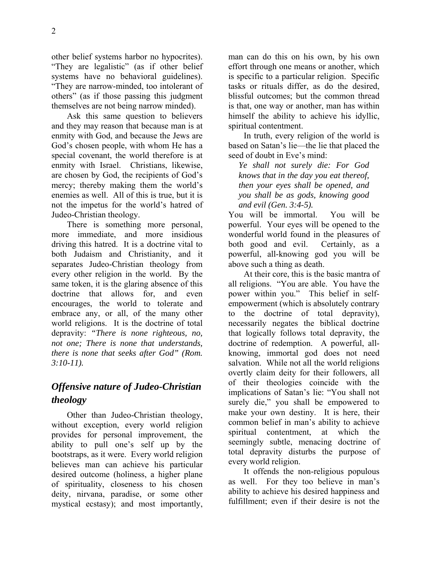other belief systems harbor no hypocrites). "They are legalistic" (as if other belief systems have no behavioral guidelines). "They are narrow-minded, too intolerant of others" (as if those passing this judgment themselves are not being narrow minded).

Ask this same question to believers and they may reason that because man is at enmity with God, and because the Jews are God's chosen people, with whom He has a special covenant, the world therefore is at enmity with Israel. Christians, likewise, are chosen by God, the recipients of God's mercy; thereby making them the world's enemies as well. All of this is true, but it is not the impetus for the world's hatred of Judeo-Christian theology.

There is something more personal, more immediate, and more insidious driving this hatred. It is a doctrine vital to both Judaism and Christianity, and it separates Judeo-Christian theology from every other religion in the world. By the same token, it is the glaring absence of this doctrine that allows for, and even encourages, the world to tolerate and embrace any, or all, of the many other world religions. It is the doctrine of total depravity: *"There is none righteous, no, not one; There is none that understands, there is none that seeks after God" (Rom. 3:10-11).*

# *Offensive nature of Judeo-Christian theology*

Other than Judeo-Christian theology, without exception, every world religion provides for personal improvement, the ability to pull one's self up by the bootstraps, as it were. Every world religion believes man can achieve his particular desired outcome (holiness, a higher plane of spirituality, closeness to his chosen deity, nirvana, paradise, or some other mystical ecstasy); and most importantly, man can do this on his own, by his own effort through one means or another, which is specific to a particular religion. Specific tasks or rituals differ, as do the desired, blissful outcomes; but the common thread is that, one way or another, man has within himself the ability to achieve his idyllic, spiritual contentment.

In truth, every religion of the world is based on Satan's lie—the lie that placed the seed of doubt in Eve's mind:

*Ye shall not surely die: For God knows that in the day you eat thereof, then your eyes shall be opened, and you shall be as gods, knowing good and evil (Gen. 3:4-5).*

You will be immortal. You will be powerful. Your eyes will be opened to the wonderful world found in the pleasures of both good and evil. Certainly, as a powerful, all-knowing god you will be above such a thing as death.

At their core, this is the basic mantra of all religions. "You are able. You have the power within you." This belief in selfempowerment (which is absolutely contrary to the doctrine of total depravity), necessarily negates the biblical doctrine that logically follows total depravity, the doctrine of redemption. A powerful, allknowing, immortal god does not need salvation. While not all the world religions overtly claim deity for their followers, all of their theologies coincide with the implications of Satan's lie: "You shall not surely die," you shall be empowered to make your own destiny. It is here, their common belief in man's ability to achieve spiritual contentment, at which the seemingly subtle, menacing doctrine of total depravity disturbs the purpose of every world religion.

It offends the non-religious populous as well. For they too believe in man's ability to achieve his desired happiness and fulfillment; even if their desire is not the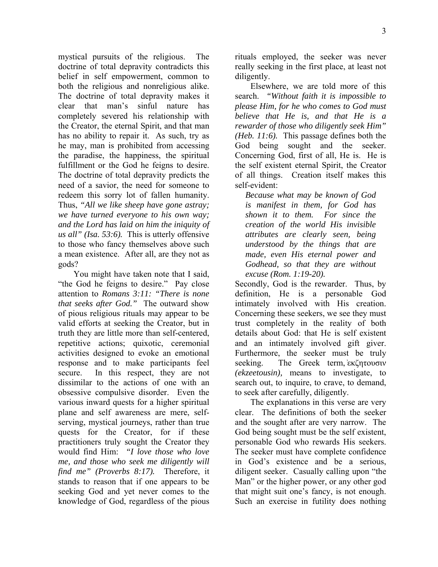mystical pursuits of the religious. The doctrine of total depravity contradicts this belief in self empowerment, common to both the religious and nonreligious alike. The doctrine of total depravity makes it clear that man's sinful nature has completely severed his relationship with the Creator, the eternal Spirit, and that man has no ability to repair it. As such, try as he may, man is prohibited from accessing the paradise, the happiness, the spiritual fulfillment or the God he feigns to desire. The doctrine of total depravity predicts the need of a savior, the need for someone to redeem this sorry lot of fallen humanity. Thus, *"All we like sheep have gone astray; we have turned everyone to his own way; and the Lord has laid on him the iniquity of us all" (Isa. 53:6).* This is utterly offensive to those who fancy themselves above such a mean existence. After all, are they not as gods?

You might have taken note that I said, "the God he feigns to desire." Pay close attention to *Romans 3:11: "There is none that seeks after God."* The outward show of pious religious rituals may appear to be valid efforts at seeking the Creator, but in truth they are little more than self-centered, repetitive actions; quixotic, ceremonial activities designed to evoke an emotional response and to make participants feel secure. In this respect, they are not dissimilar to the actions of one with an obsessive compulsive disorder. Even the various inward quests for a higher spiritual plane and self awareness are mere, selfserving, mystical journeys, rather than true quests for the Creator, for if these practitioners truly sought the Creator they would find Him: *"I love those who love me, and those who seek me diligently will find me" (Proverbs 8:17).* Therefore, it stands to reason that if one appears to be seeking God and yet never comes to the knowledge of God, regardless of the pious rituals employed, the seeker was never really seeking in the first place, at least not diligently.

Elsewhere, we are told more of this search. *"Without faith it is impossible to please Him, for he who comes to God must believe that He is, and that He is a rewarder of those who diligently seek Him" (Heb. 11:6).* This passage defines both the God being sought and the seeker. Concerning God, first of all, He is. He is the self existent eternal Spirit, the Creator of all things. Creation itself makes this self-evident:

*Because what may be known of God is manifest in them, for God has shown it to them. For since the creation of the world His invisible attributes are clearly seen, being understood by the things that are made, even His eternal power and Godhead, so that they are without excuse (Rom. 1:19-20).*

Secondly, God is the rewarder. Thus, by definition, He is a personable God intimately involved with His creation. Concerning these seekers, we see they must trust completely in the reality of both details about God: that He is self existent and an intimately involved gift giver. Furthermore, the seeker must be truly seeking. The Greek term, εκζητουσιν *(ekzeetousin),* means to investigate, to search out, to inquire, to crave, to demand, to seek after carefully, diligently.

The explanations in this verse are very clear. The definitions of both the seeker and the sought after are very narrow. The God being sought must be the self existent, personable God who rewards His seekers. The seeker must have complete confidence in God's existence and be a serious, diligent seeker. Casually calling upon "the Man" or the higher power, or any other god that might suit one's fancy, is not enough. Such an exercise in futility does nothing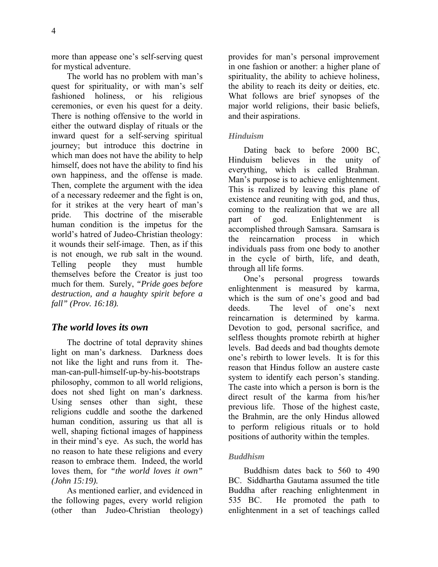more than appease one's self-serving quest for mystical adventure.

The world has no problem with man's quest for spirituality, or with man's self fashioned holiness, or his religious ceremonies, or even his quest for a deity. There is nothing offensive to the world in either the outward display of rituals or the inward quest for a self-serving spiritual journey; but introduce this doctrine in which man does not have the ability to help himself, does not have the ability to find his own happiness, and the offense is made. Then, complete the argument with the idea of a necessary redeemer and the fight is on, for it strikes at the very heart of man's pride. This doctrine of the miserable human condition is the impetus for the world's hatred of Judeo-Christian theology: it wounds their self-image. Then, as if this is not enough, we rub salt in the wound. Telling people they must humble themselves before the Creator is just too much for them. Surely, *"Pride goes before destruction, and a haughty spirit before a fall" (Prov. 16:18).*

# *The world loves its own*

The doctrine of total depravity shines light on man's darkness. Darkness does not like the light and runs from it. Theman-can-pull-himself-up-by-his-bootstraps philosophy, common to all world religions, does not shed light on man's darkness. Using senses other than sight, these religions cuddle and soothe the darkened human condition, assuring us that all is well, shaping fictional images of happiness in their mind's eye. As such, the world has no reason to hate these religions and every reason to embrace them. Indeed, the world loves them, for *"the world loves it own" (John 15:19).* 

As mentioned earlier, and evidenced in the following pages, every world religion (other than Judeo-Christian theology) provides for man's personal improvement in one fashion or another: a higher plane of spirituality, the ability to achieve holiness, the ability to reach its deity or deities, etc. What follows are brief synopses of the major world religions, their basic beliefs, and their aspirations.

#### *Hinduism*

Dating back to before 2000 BC, Hinduism believes in the unity of everything, which is called Brahman. Man's purpose is to achieve enlightenment. This is realized by leaving this plane of existence and reuniting with god, and thus, coming to the realization that we are all part of god. Enlightenment is accomplished through Samsara. Samsara is the reincarnation process in which individuals pass from one body to another in the cycle of birth, life, and death, through all life forms.

One's personal progress towards enlightenment is measured by karma, which is the sum of one's good and bad deeds. The level of one's next reincarnation is determined by karma. Devotion to god, personal sacrifice, and selfless thoughts promote rebirth at higher levels. Bad deeds and bad thoughts demote one's rebirth to lower levels. It is for this reason that Hindus follow an austere caste system to identify each person's standing. The caste into which a person is born is the direct result of the karma from his/her previous life. Those of the highest caste, the Brahmin, are the only Hindus allowed to perform religious rituals or to hold positions of authority within the temples.

#### *Buddhism*

Buddhism dates back to 560 to 490 BC. Siddhartha Gautama assumed the title Buddha after reaching enlightenment in 535 BC. He promoted the path to enlightenment in a set of teachings called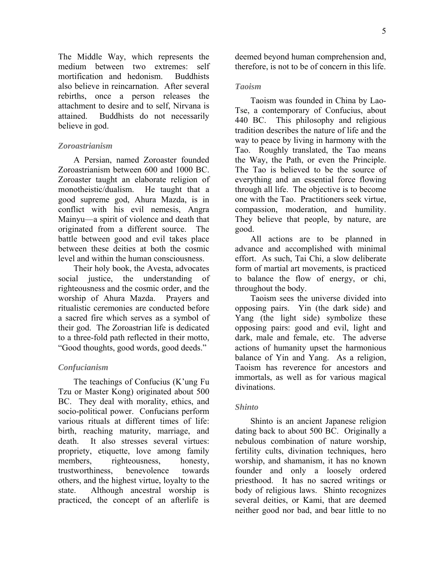The Middle Way, which represents the medium between two extremes: self mortification and hedonism. Buddhists also believe in reincarnation. After several rebirths, once a person releases the attachment to desire and to self, Nirvana is attained. Buddhists do not necessarily believe in god.

#### *Zoroastrianism*

A Persian, named Zoroaster founded Zoroastrianism between 600 and 1000 BC. Zoroaster taught an elaborate religion of monotheistic/dualism. He taught that a good supreme god, Ahura Mazda, is in conflict with his evil nemesis, Angra Mainyu—a spirit of violence and death that originated from a different source. The battle between good and evil takes place between these deities at both the cosmic level and within the human consciousness.

Their holy book, the Avesta, advocates social justice, the understanding of righteousness and the cosmic order, and the worship of Ahura Mazda. Prayers and ritualistic ceremonies are conducted before a sacred fire which serves as a symbol of their god. The Zoroastrian life is dedicated to a three-fold path reflected in their motto, "Good thoughts, good words, good deeds."

#### *Confucianism*

The teachings of Confucius (K'ung Fu Tzu or Master Kong) originated about 500 BC. They deal with morality, ethics, and socio-political power. Confucians perform various rituals at different times of life: birth, reaching maturity, marriage, and death. It also stresses several virtues: propriety, etiquette, love among family members, righteousness, honesty, trustworthiness, benevolence towards others, and the highest virtue, loyalty to the state. Although ancestral worship is practiced, the concept of an afterlife is deemed beyond human comprehension and, therefore, is not to be of concern in this life.

#### *Taoism*

Taoism was founded in China by Lao-Tse, a contemporary of Confucius, about 440 BC. This philosophy and religious tradition describes the nature of life and the way to peace by living in harmony with the Tao. Roughly translated, the Tao means the Way, the Path, or even the Principle. The Tao is believed to be the source of everything and an essential force flowing through all life. The objective is to become one with the Tao. Practitioners seek virtue, compassion, moderation, and humility. They believe that people, by nature, are good.

All actions are to be planned in advance and accomplished with minimal effort. As such, Tai Chi, a slow deliberate form of martial art movements, is practiced to balance the flow of energy, or chi, throughout the body.

Taoism sees the universe divided into opposing pairs. Yin (the dark side) and Yang (the light side) symbolize these opposing pairs: good and evil, light and dark, male and female, etc. The adverse actions of humanity upset the harmonious balance of Yin and Yang. As a religion, Taoism has reverence for ancestors and immortals, as well as for various magical divinations.

## *Shinto*

Shinto is an ancient Japanese religion dating back to about 500 BC. Originally a nebulous combination of nature worship, fertility cults, divination techniques, hero worship, and shamanism, it has no known founder and only a loosely ordered priesthood. It has no sacred writings or body of religious laws. Shinto recognizes several deities, or Kami, that are deemed neither good nor bad, and bear little to no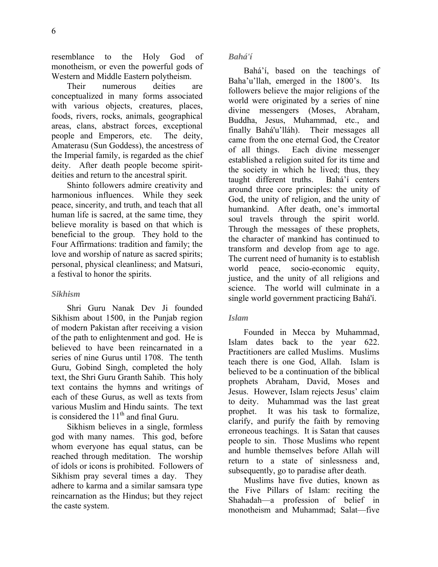resemblance to the Holy God of monotheism, or even the powerful gods of Western and Middle Eastern polytheism.

Their numerous deities are conceptualized in many forms associated with various objects, creatures, places, foods, rivers, rocks, animals, geographical areas, clans, abstract forces, exceptional people and Emperors, etc. The deity, Amaterasu (Sun Goddess), the ancestress of the Imperial family, is regarded as the chief deity. After death people become spiritdeities and return to the ancestral spirit.

Shinto followers admire creativity and harmonious influences. While they seek peace, sincerity, and truth, and teach that all human life is sacred, at the same time, they believe morality is based on that which is beneficial to the group. They hold to the Four Affirmations: tradition and family; the love and worship of nature as sacred spirits; personal, physical cleanliness; and Matsuri, a festival to honor the spirits.

#### *Sikhism*

Shri Guru Nanak Dev Ji founded Sikhism about 1500, in the Punjab region of modern Pakistan after receiving a vision of the path to enlightenment and god. He is believed to have been reincarnated in a series of nine Gurus until 1708. The tenth Guru, Gobind Singh, completed the holy text, the Shri Guru Granth Sahib. This holy text contains the hymns and writings of each of these Gurus, as well as texts from various Muslim and Hindu saints. The text is considered the  $11<sup>th</sup>$  and final Guru.

Sikhism believes in a single, formless god with many names. This god, before whom everyone has equal status, can be reached through meditation. The worship of idols or icons is prohibited. Followers of Sikhism pray several times a day. They adhere to karma and a similar samsara type reincarnation as the Hindus; but they reject the caste system.

#### *Bahá'í*

Bahá'í, based on the teachings of Baha'u'llah, emerged in the 1800's. Its followers believe the major religions of the world were originated by a series of nine divine messengers (Moses, Abraham, Buddha, Jesus, Muhammad, etc., and finally Bahá'u'lláh). Their messages all came from the one eternal God, the Creator of all things. Each divine messenger established a religion suited for its time and the society in which he lived; thus, they taught different truths. Bahá'í centers around three core principles: the unity of God, the unity of religion, and the unity of humankind. After death, one's immortal soul travels through the spirit world. Through the messages of these prophets, the character of mankind has continued to transform and develop from age to age. The current need of humanity is to establish world peace, socio-economic equity, justice, and the unity of all religions and science. The world will culminate in a single world government practicing Bahá'í.

#### *Islam*

Founded in Mecca by Muhammad, Islam dates back to the year 622. Practitioners are called Muslims. Muslims teach there is one God, Allah. Islam is believed to be a continuation of the biblical prophets Abraham, David, Moses and Jesus. However, Islam rejects Jesus' claim to deity. Muhammad was the last great prophet. It was his task to formalize, clarify, and purify the faith by removing erroneous teachings. It is Satan that causes people to sin. Those Muslims who repent and humble themselves before Allah will return to a state of sinlessness and, subsequently, go to paradise after death.

Muslims have five duties, known as the Five Pillars of Islam: reciting the Shahadah—a profession of belief in monotheism and Muhammad; Salat—five